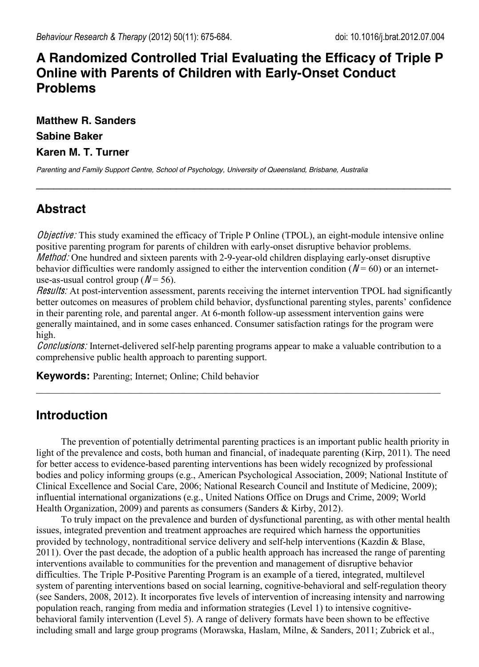# **A Randomized Controlled Trial Evaluating the Efficacy of Triple P Online with Parents of Children with Early-Onset Conduct Problems**

**Matthew R. Sanders Sabine Baker Karen M. T. Turner**

*Parenting and Family Support Centre, School of Psychology, University of Queensland, Brisbane, Australia*

# **Abstract**

Objective: This study examined the efficacy of Triple P Online (TPOL), an eight-module intensive online positive parenting program for parents of children with early-onset disruptive behavior problems. Method: One hundred and sixteen parents with 2-9-year-old children displaying early-onset disruptive behavior difficulties were randomly assigned to either the intervention condition ( $N = 60$ ) or an internetuse-as-usual control group ( $N = 56$ ).

 $\_$ 

Results: At post-intervention assessment, parents receiving the internet intervention TPOL had significantly better outcomes on measures of problem child behavior, dysfunctional parenting styles, parents' confidence in their parenting role, and parental anger. At 6-month follow-up assessment intervention gains were generally maintained, and in some cases enhanced. Consumer satisfaction ratings for the program were high.

Conclusions: Internet-delivered self-help parenting programs appear to make a valuable contribution to a comprehensive public health approach to parenting support.

 $\mathcal{L}_\mathcal{L} = \{ \mathcal{L}_\mathcal{L} = \{ \mathcal{L}_\mathcal{L} = \{ \mathcal{L}_\mathcal{L} = \{ \mathcal{L}_\mathcal{L} = \{ \mathcal{L}_\mathcal{L} = \{ \mathcal{L}_\mathcal{L} = \{ \mathcal{L}_\mathcal{L} = \{ \mathcal{L}_\mathcal{L} = \{ \mathcal{L}_\mathcal{L} = \{ \mathcal{L}_\mathcal{L} = \{ \mathcal{L}_\mathcal{L} = \{ \mathcal{L}_\mathcal{L} = \{ \mathcal{L}_\mathcal{L} = \{ \mathcal{L}_\mathcal{$ 

**Keywords:** Parenting; Internet; Online; Child behavior

# **Introduction**

The prevention of potentially detrimental parenting practices is an important public health priority in light of the prevalence and costs, both human and financial, of inadequate parenting (Kirp, 2011). The need for better access to evidence-based parenting interventions has been widely recognized by professional bodies and policy informing groups (e.g., American Psychological Association, 2009; National Institute of Clinical Excellence and Social Care, 2006; National Research Council and Institute of Medicine, 2009); influential international organizations (e.g., United Nations Office on Drugs and Crime, 2009; World Health Organization, 2009) and parents as consumers (Sanders & Kirby, 2012).

To truly impact on the prevalence and burden of dysfunctional parenting, as with other mental health issues, integrated prevention and treatment approaches are required which harness the opportunities provided by technology, nontraditional service delivery and self-help interventions (Kazdin & Blase, 2011). Over the past decade, the adoption of a public health approach has increased the range of parenting interventions available to communities for the prevention and management of disruptive behavior difficulties. The Triple P-Positive Parenting Program is an example of a tiered, integrated, multilevel system of parenting interventions based on social learning, cognitive-behavioral and self-regulation theory (see Sanders, 2008, 2012). It incorporates five levels of intervention of increasing intensity and narrowing population reach, ranging from media and information strategies (Level 1) to intensive cognitivebehavioral family intervention (Level 5). A range of delivery formats have been shown to be effective including small and large group programs (Morawska, Haslam, Milne, & Sanders, 2011; Zubrick et al.,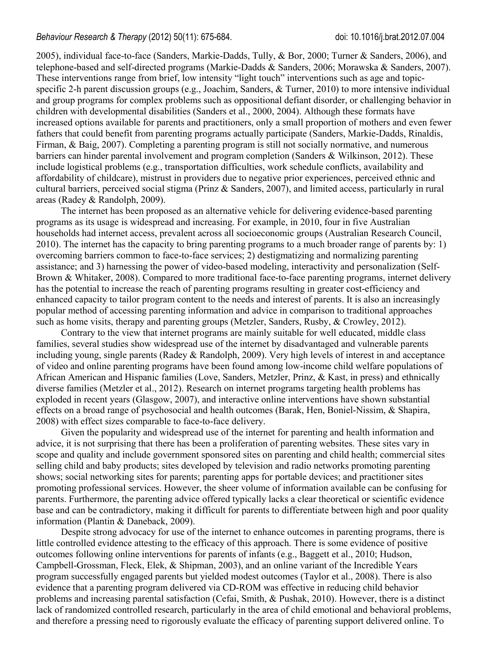2005), individual face-to-face (Sanders, Markie-Dadds, Tully, & Bor, 2000; Turner & Sanders, 2006), and telephone-based and self-directed programs (Markie-Dadds & Sanders, 2006; Morawska & Sanders, 2007). These interventions range from brief, low intensity "light touch" interventions such as age and topicspecific 2-h parent discussion groups (e.g., Joachim, Sanders, & Turner, 2010) to more intensive individual and group programs for complex problems such as oppositional defiant disorder, or challenging behavior in children with developmental disabilities (Sanders et al., 2000, 2004). Although these formats have increased options available for parents and practitioners, only a small proportion of mothers and even fewer fathers that could benefit from parenting programs actually participate (Sanders, Markie-Dadds, Rinaldis, Firman, & Baig, 2007). Completing a parenting program is still not socially normative, and numerous barriers can hinder parental involvement and program completion (Sanders & Wilkinson, 2012). These include logistical problems (e.g., transportation difficulties, work schedule conflicts, availability and affordability of childcare), mistrust in providers due to negative prior experiences, perceived ethnic and cultural barriers, perceived social stigma (Prinz & Sanders, 2007), and limited access, particularly in rural areas (Radey & Randolph, 2009).

The internet has been proposed as an alternative vehicle for delivering evidence-based parenting programs as its usage is widespread and increasing. For example, in 2010, four in five Australian households had internet access, prevalent across all socioeconomic groups (Australian Research Council, 2010). The internet has the capacity to bring parenting programs to a much broader range of parents by: 1) overcoming barriers common to face-to-face services; 2) destigmatizing and normalizing parenting assistance; and 3) harnessing the power of video-based modeling, interactivity and personalization (Self-Brown & Whitaker, 2008). Compared to more traditional face-to-face parenting programs, internet delivery has the potential to increase the reach of parenting programs resulting in greater cost-efficiency and enhanced capacity to tailor program content to the needs and interest of parents. It is also an increasingly popular method of accessing parenting information and advice in comparison to traditional approaches such as home visits, therapy and parenting groups (Metzler, Sanders, Rusby, & Crowley, 2012).

Contrary to the view that internet programs are mainly suitable for well educated, middle class families, several studies show widespread use of the internet by disadvantaged and vulnerable parents including young, single parents (Radey & Randolph, 2009). Very high levels of interest in and acceptance of video and online parenting programs have been found among low-income child welfare populations of African American and Hispanic families (Love, Sanders, Metzler, Prinz, & Kast, in press) and ethnically diverse families (Metzler et al., 2012). Research on internet programs targeting health problems has exploded in recent years (Glasgow, 2007), and interactive online interventions have shown substantial effects on a broad range of psychosocial and health outcomes (Barak, Hen, Boniel-Nissim, & Shapira, 2008) with effect sizes comparable to face-to-face delivery.

Given the popularity and widespread use of the internet for parenting and health information and advice, it is not surprising that there has been a proliferation of parenting websites. These sites vary in scope and quality and include government sponsored sites on parenting and child health; commercial sites selling child and baby products; sites developed by television and radio networks promoting parenting shows; social networking sites for parents; parenting apps for portable devices; and practitioner sites promoting professional services. However, the sheer volume of information available can be confusing for parents. Furthermore, the parenting advice offered typically lacks a clear theoretical or scientific evidence base and can be contradictory, making it difficult for parents to differentiate between high and poor quality information (Plantin & Daneback, 2009).

Despite strong advocacy for use of the internet to enhance outcomes in parenting programs, there is little controlled evidence attesting to the efficacy of this approach. There is some evidence of positive outcomes following online interventions for parents of infants (e.g., Baggett et al., 2010; Hudson, Campbell-Grossman, Fleck, Elek, & Shipman, 2003), and an online variant of the Incredible Years program successfully engaged parents but yielded modest outcomes (Taylor et al., 2008). There is also evidence that a parenting program delivered via CD-ROM was effective in reducing child behavior problems and increasing parental satisfaction (Cefai, Smith, & Pushak, 2010). However, there is a distinct lack of randomized controlled research, particularly in the area of child emotional and behavioral problems, and therefore a pressing need to rigorously evaluate the efficacy of parenting support delivered online. To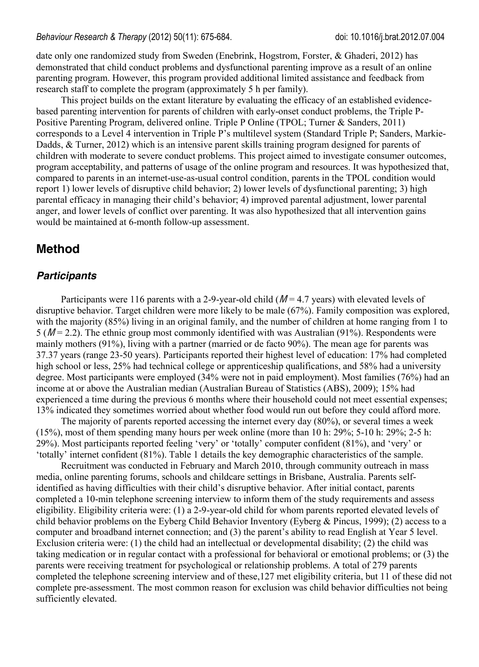date only one randomized study from Sweden (Enebrink, Hogstrom, Forster, & Ghaderi, 2012) has demonstrated that child conduct problems and dysfunctional parenting improve as a result of an online parenting program. However, this program provided additional limited assistance and feedback from research staff to complete the program (approximately 5 h per family).

This project builds on the extant literature by evaluating the efficacy of an established evidencebased parenting intervention for parents of children with early-onset conduct problems, the Triple P-Positive Parenting Program, delivered online. Triple P Online (TPOL; Turner & Sanders, 2011) corresponds to a Level 4 intervention in Triple P's multilevel system (Standard Triple P; Sanders, Markie-Dadds, & Turner, 2012) which is an intensive parent skills training program designed for parents of children with moderate to severe conduct problems. This project aimed to investigate consumer outcomes, program acceptability, and patterns of usage of the online program and resources. It was hypothesized that, compared to parents in an internet-use-as-usual control condition, parents in the TPOL condition would report 1) lower levels of disruptive child behavior; 2) lower levels of dysfunctional parenting; 3) high parental efficacy in managing their child's behavior; 4) improved parental adjustment, lower parental anger, and lower levels of conflict over parenting. It was also hypothesized that all intervention gains would be maintained at 6-month follow-up assessment.

# **Method**

## *Participants*

Participants were 116 parents with a 2-9-year-old child  $(M = 4.7$  years) with elevated levels of disruptive behavior. Target children were more likely to be male (67%). Family composition was explored, with the majority (85%) living in an original family, and the number of children at home ranging from 1 to  $5 (M = 2.2)$ . The ethnic group most commonly identified with was Australian (91%). Respondents were mainly mothers (91%), living with a partner (married or de facto 90%). The mean age for parents was 37.37 years (range 23-50 years). Participants reported their highest level of education: 17% had completed high school or less, 25% had technical college or apprenticeship qualifications, and 58% had a university degree. Most participants were employed (34% were not in paid employment). Most families (76%) had an income at or above the Australian median (Australian Bureau of Statistics (ABS), 2009); 15% had experienced a time during the previous 6 months where their household could not meet essential expenses; 13% indicated they sometimes worried about whether food would run out before they could afford more.

The majority of parents reported accessing the internet every day (80%), or several times a week (15%), most of them spending many hours per week online (more than 10 h: 29%; 5-10 h: 29%; 2-5 h: 29%). Most participants reported feeling 'very' or 'totally' computer confident (81%), and 'very' or 'totally' internet confident (81%). Table 1 details the key demographic characteristics of the sample.

Recruitment was conducted in February and March 2010, through community outreach in mass media, online parenting forums, schools and childcare settings in Brisbane, Australia. Parents selfidentified as having difficulties with their child's disruptive behavior. After initial contact, parents completed a 10-min telephone screening interview to inform them of the study requirements and assess eligibility. Eligibility criteria were: (1) a 2-9-year-old child for whom parents reported elevated levels of child behavior problems on the Eyberg Child Behavior Inventory (Eyberg & Pincus, 1999); (2) access to a computer and broadband internet connection; and (3) the parent's ability to read English at Year 5 level. Exclusion criteria were: (1) the child had an intellectual or developmental disability; (2) the child was taking medication or in regular contact with a professional for behavioral or emotional problems; or (3) the parents were receiving treatment for psychological or relationship problems. A total of 279 parents completed the telephone screening interview and of these,127 met eligibility criteria, but 11 of these did not complete pre-assessment. The most common reason for exclusion was child behavior difficulties not being sufficiently elevated.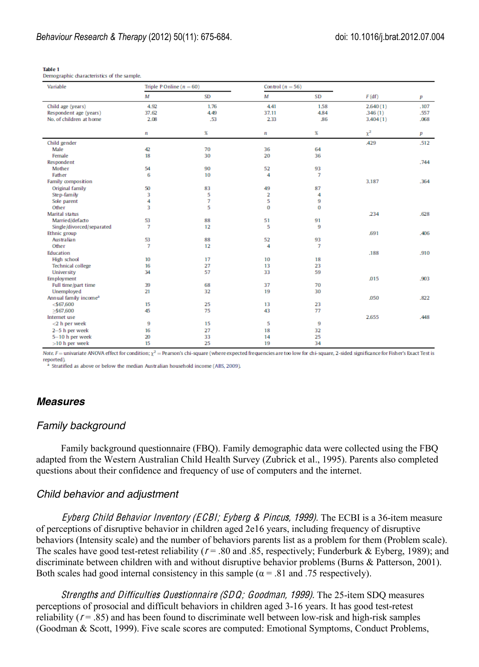| Variable                          | Triple P Online $(n = 60)$ |           | Control $(n = 56)$      |                |            |      |
|-----------------------------------|----------------------------|-----------|-------------------------|----------------|------------|------|
|                                   | M                          | <b>SD</b> | M                       | SD             | F(df)      | p    |
| Child age (years)                 | 4.92                       | 1.76      | 4.41                    | 1.58           | 2.640(1)   | .107 |
| Respondent age (years)            | 37.62                      | 4.49      | 37.11                   | 4.84           | .346(1)    | .557 |
| No. of children at home           | 2.08                       | .53       | 2.33                    | .86            | 3.404(1)   | .068 |
|                                   | $\mathbf{n}$               | x         | $\mathbf{n}$            | x              | $\chi^2$   | p    |
| Child gender                      |                            |           |                         |                | <b>429</b> | .512 |
| Male                              | 42                         | 70        | 36                      | 64             |            |      |
| Female                            | 18                         | 30        | 20                      | 36             |            |      |
| Respondent                        |                            |           |                         |                |            | .744 |
| Mother                            | 54                         | 90        | 52                      | 93             |            |      |
| <b>Father</b>                     | 6                          | 10        | 4                       | $\overline{7}$ |            |      |
| Family composition                |                            |           |                         |                | 3.187      | .364 |
| Original family                   | 50                         | 83        | 49                      | 87             |            |      |
| Step-family                       | 3                          | 5         | $\overline{\mathbf{2}}$ | 4              |            |      |
| Sole parent                       | 4                          | 7         | 5                       | 9              |            |      |
| Other                             | 3                          | 5         | $\bf{0}$                | $\bf{0}$       |            |      |
| <b>Marital status</b>             |                            |           |                         |                | .234       | .628 |
| Married/defacto                   | 53                         | 88        | 51                      | 91             |            |      |
| Single/divorced/separated         | $\overline{7}$             | 12        | 5                       | 9              |            |      |
| Ethnic group                      |                            |           |                         |                | .691       | .406 |
| Australian                        | 53                         | 88        | 52                      | 93             |            |      |
| Other                             | $\overline{7}$             | 12        | 4                       | $\overline{7}$ |            |      |
| Education                         |                            |           |                         |                | .188       | .910 |
| High school                       | 10                         | 17        | 10                      | 18             |            |      |
| <b>Technical college</b>          | 16                         | 27        | 13                      | 23             |            |      |
| University                        | 34                         | 57        | 33                      | 59             |            |      |
| Employment                        |                            |           |                         |                | .015       | .903 |
| Full time/part time               | 39                         | 68        | 37                      | 70             |            |      |
| Unemployed                        | 21                         | 32        | 19                      | 30             |            |      |
| Annual family income <sup>a</sup> |                            |           |                         |                | .050       | .822 |
| $<$ 567,600                       | 15                         | 25        | 13                      | 23             |            |      |
| >567,600                          | 45                         | 75        | 43                      | 77             |            |      |
| Internet use                      |                            |           |                         |                | 2.655      | .448 |
| $<$ 2 h per week                  | 9                          | 15        | 5                       | 9              |            |      |
| 2-5 h per week                    | 16                         | 27        | 18                      | 32             |            |      |
| 5-10 h per week                   | 20                         | 33        | 14                      | 25             |            |      |
| $>10$ h per week                  | 15                         | 25        | 19                      | 34             |            |      |

**Table 1** Demographic characteristics of the sample.

Note,  $F =$  univariate ANOVA effect for condition;  $\chi^2$  = Pearson's chi-square (where expected frequencies are too low for chi-square, 2-sided significance for Fisher's Exact Test is reported)

<sup>a</sup> Stratified as above or below the median Australian household income (ABS, 2009).

### *Measures*

### *Family background*

Family background questionnaire (FBQ). Family demographic data were collected using the FBQ adapted from the Western Australian Child Health Survey (Zubrick et al., 1995). Parents also completed questions about their confidence and frequency of use of computers and the internet.

#### *Child behavior and adjustment*

Eyb<sup>e</sup>rg Child Behavior Inventory (ECBI; Eyb<sup>e</sup>rg & Pincus, 1999). The ECBI is a 36-item measure of perceptions of disruptive behavior in children aged 2e16 years, including frequency of disruptive behaviors (Intensity scale) and the number of behaviors parents list as a problem for them (Problem scale). The scales have good test-retest reliability ( $r = .80$  and  $.85$ , respectively; Funderburk & Eyberg, 1989); and discriminate between children with and without disruptive behavior problems (Burns & Patterson, 2001). Both scales had good internal consistency in this sample ( $\alpha$  = .81 and .75 respectively).

Strength<sup>s</sup> and Difficultie<sup>s</sup> Questionnair<sup>e</sup> (SDQ; Goodman, 1999). The 25-item SDQ measures perceptions of prosocial and difficult behaviors in children aged 3-16 years. It has good test-retest reliability ( $r = .85$ ) and has been found to discriminate well between low-risk and high-risk samples (Goodman & Scott, 1999). Five scale scores are computed: Emotional Symptoms, Conduct Problems,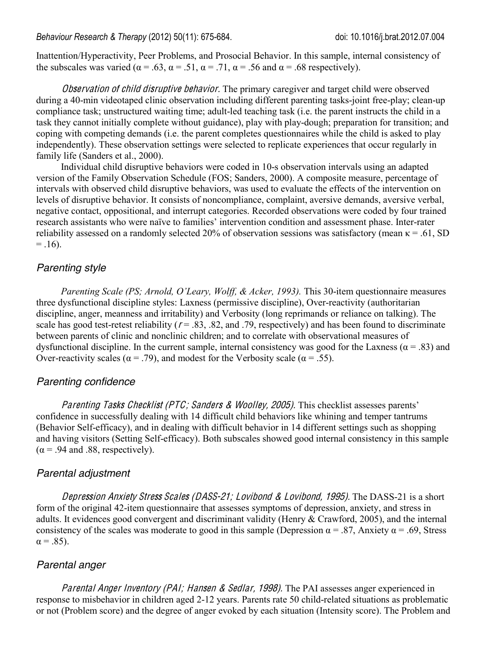Inattention/Hyperactivity, Peer Problems, and Prosocial Behavior. In this sample, internal consistency of the subscales was varied ( $\alpha = .63$ ,  $\alpha = .51$ ,  $\alpha = .71$ ,  $\alpha = .56$  and  $\alpha = .68$  respectively).

Observation of child disruptive behavior. The primary caregiver and target child were observed during a 40-min videotaped clinic observation including different parenting tasks-joint free-play; clean-up compliance task; unstructured waiting time; adult-led teaching task (i.e. the parent instructs the child in a task they cannot initially complete without guidance), play with play-dough; preparation for transition; and coping with competing demands (i.e. the parent completes questionnaires while the child is asked to play independently). These observation settings were selected to replicate experiences that occur regularly in family life (Sanders et al., 2000).

Individual child disruptive behaviors were coded in 10-s observation intervals using an adapted version of the Family Observation Schedule (FOS; Sanders, 2000). A composite measure, percentage of intervals with observed child disruptive behaviors, was used to evaluate the effects of the intervention on levels of disruptive behavior. It consists of noncompliance, complaint, aversive demands, aversive verbal, negative contact, oppositional, and interrupt categories. Recorded observations were coded by four trained research assistants who were naïve to families' intervention condition and assessment phase. Inter-rater reliability assessed on a randomly selected 20% of observation sessions was satisfactory (mean  $\kappa = .61$ , SD  $= .16$ ).

# *Parenting style*

*Parenting Scale (PS; Arnold, O'Leary, Wolff, & Acker, 1993).* This 30-item questionnaire measures three dysfunctional discipline styles: Laxness (permissive discipline), Over-reactivity (authoritarian discipline, anger, meanness and irritability) and Verbosity (long reprimands or reliance on talking). The scale has good test-retest reliability ( $r = .83$ , .82, and .79, respectively) and has been found to discriminate between parents of clinic and nonclinic children; and to correlate with observational measures of dysfunctional discipline. In the current sample, internal consistency was good for the Laxness ( $\alpha$  = .83) and Over-reactivity scales ( $\alpha$  = .79), and modest for the Verbosity scale ( $\alpha$  = .55).

# *Parenting confidence*

Parenting Tasks Checklist (PTC; Sanders & Woolley, 2005). This checklist assesses parents' confidence in successfully dealing with 14 difficult child behaviors like whining and temper tantrums (Behavior Self-efficacy), and in dealing with difficult behavior in 14 different settings such as shopping and having visitors (Setting Self-efficacy). Both subscales showed good internal consistency in this sample  $(\alpha = .94$  and .88, respectively).

### *Parental adjustment*

Depression Anxiety Stress Scales (DASS-21; Lovibond & Lovibond, 1995). The DASS-21 is a short form of the original 42-item questionnaire that assesses symptoms of depression, anxiety, and stress in adults. It evidences good convergent and discriminant validity (Henry & Crawford, 2005), and the internal consistency of the scales was moderate to good in this sample (Depression  $\alpha$  = .87, Anxiety  $\alpha$  = .69, Stress  $\alpha = .85$ ).

# *Parental anger*

Parental Anger Inventory (PAI; Hansen & Sedlar, 1998). The PAI assesses anger experienced in response to misbehavior in children aged 2-12 years. Parents rate 50 child-related situations as problematic or not (Problem score) and the degree of anger evoked by each situation (Intensity score). The Problem and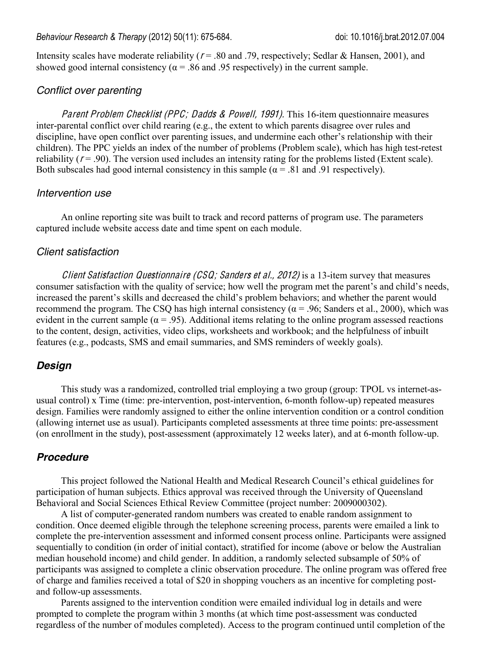Intensity scales have moderate reliability ( $r = .80$  and .79, respectively; Sedlar & Hansen, 2001), and showed good internal consistency ( $\alpha$  = .86 and .95 respectively) in the current sample.

#### *Conflict over parenting*

Parent Problem Checklist (PPC; Dadds & Powell, 1991). This 16-item questionnaire measures inter-parental conflict over child rearing (e.g., the extent to which parents disagree over rules and discipline, have open conflict over parenting issues, and undermine each other's relationship with their children). The PPC yields an index of the number of problems (Problem scale), which has high test-retest reliability  $(r = .90)$ . The version used includes an intensity rating for the problems listed (Extent scale). Both subscales had good internal consistency in this sample ( $\alpha$  = .81 and .91 respectively).

#### *Intervention use*

An online reporting site was built to track and record patterns of program use. The parameters captured include website access date and time spent on each module.

#### *Client satisfaction*

Client Satisfaction Questionnaire (CSQ; Sanders et al., 2012) is a 13-item survey that measures consumer satisfaction with the quality of service; how well the program met the parent's and child's needs, increased the parent's skills and decreased the child's problem behaviors; and whether the parent would recommend the program. The CSQ has high internal consistency ( $α = .96$ ; Sanders et al., 2000), which was evident in the current sample ( $\alpha$  = .95). Additional items relating to the online program assessed reactions to the content, design, activities, video clips, worksheets and workbook; and the helpfulness of inbuilt features (e.g., podcasts, SMS and email summaries, and SMS reminders of weekly goals).

#### *Design*

This study was a randomized, controlled trial employing a two group (group: TPOL vs internet-asusual control) x Time (time: pre-intervention, post-intervention, 6-month follow-up) repeated measures design. Families were randomly assigned to either the online intervention condition or a control condition (allowing internet use as usual). Participants completed assessments at three time points: pre-assessment (on enrollment in the study), post-assessment (approximately 12 weeks later), and at 6-month follow-up.

#### *Procedure*

This project followed the National Health and Medical Research Council's ethical guidelines for participation of human subjects. Ethics approval was received through the University of Queensland Behavioral and Social Sciences Ethical Review Committee (project number: 2009000302).

A list of computer-generated random numbers was created to enable random assignment to condition. Once deemed eligible through the telephone screening process, parents were emailed a link to complete the pre-intervention assessment and informed consent process online. Participants were assigned sequentially to condition (in order of initial contact), stratified for income (above or below the Australian median household income) and child gender. In addition, a randomly selected subsample of 50% of participants was assigned to complete a clinic observation procedure. The online program was offered free of charge and families received a total of \$20 in shopping vouchers as an incentive for completing postand follow-up assessments.

Parents assigned to the intervention condition were emailed individual log in details and were prompted to complete the program within 3 months (at which time post-assessment was conducted regardless of the number of modules completed). Access to the program continued until completion of the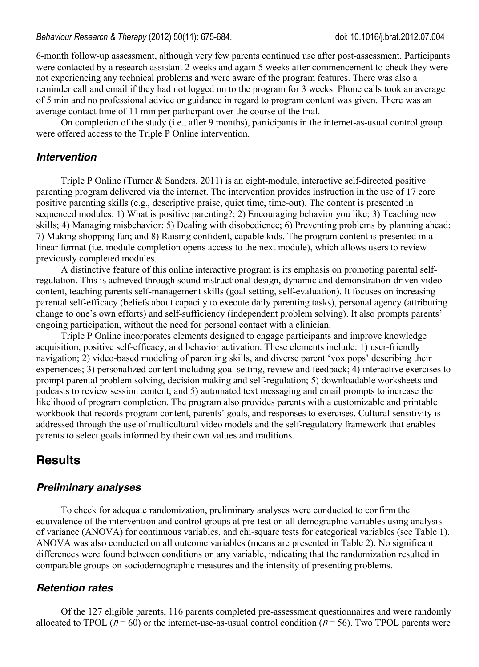6-month follow-up assessment, although very few parents continued use after post-assessment. Participants were contacted by a research assistant 2 weeks and again 5 weeks after commencement to check they were not experiencing any technical problems and were aware of the program features. There was also a reminder call and email if they had not logged on to the program for 3 weeks. Phone calls took an average of 5 min and no professional advice or guidance in regard to program content was given. There was an average contact time of 11 min per participant over the course of the trial.

On completion of the study (i.e., after 9 months), participants in the internet-as-usual control group were offered access to the Triple P Online intervention.

#### *Intervention*

Triple P Online (Turner & Sanders, 2011) is an eight-module, interactive self-directed positive parenting program delivered via the internet. The intervention provides instruction in the use of 17 core positive parenting skills (e.g., descriptive praise, quiet time, time-out). The content is presented in sequenced modules: 1) What is positive parenting?; 2) Encouraging behavior you like; 3) Teaching new skills; 4) Managing misbehavior; 5) Dealing with disobedience; 6) Preventing problems by planning ahead; 7) Making shopping fun; and 8) Raising confident, capable kids. The program content is presented in a linear format (i.e. module completion opens access to the next module), which allows users to review previously completed modules.

A distinctive feature of this online interactive program is its emphasis on promoting parental selfregulation. This is achieved through sound instructional design, dynamic and demonstration-driven video content, teaching parents self-management skills (goal setting, self-evaluation). It focuses on increasing parental self-efficacy (beliefs about capacity to execute daily parenting tasks), personal agency (attributing change to one's own efforts) and self-sufficiency (independent problem solving). It also prompts parents' ongoing participation, without the need for personal contact with a clinician.

Triple P Online incorporates elements designed to engage participants and improve knowledge acquisition, positive self-efficacy, and behavior activation. These elements include: 1) user-friendly navigation; 2) video-based modeling of parenting skills, and diverse parent 'vox pops' describing their experiences; 3) personalized content including goal setting, review and feedback; 4) interactive exercises to prompt parental problem solving, decision making and self-regulation; 5) downloadable worksheets and podcasts to review session content; and 5) automated text messaging and email prompts to increase the likelihood of program completion. The program also provides parents with a customizable and printable workbook that records program content, parents' goals, and responses to exercises. Cultural sensitivity is addressed through the use of multicultural video models and the self-regulatory framework that enables parents to select goals informed by their own values and traditions.

# **Results**

#### *Preliminary analyses*

To check for adequate randomization, preliminary analyses were conducted to confirm the equivalence of the intervention and control groups at pre-test on all demographic variables using analysis of variance (ANOVA) for continuous variables, and chi-square tests for categorical variables (see Table 1). ANOVA was also conducted on all outcome variables (means are presented in Table 2). No significant differences were found between conditions on any variable, indicating that the randomization resulted in comparable groups on sociodemographic measures and the intensity of presenting problems.

#### *Retention rates*

Of the 127 eligible parents, 116 parents completed pre-assessment questionnaires and were randomly allocated to TPOL ( $n = 60$ ) or the internet-use-as-usual control condition ( $n = 56$ ). Two TPOL parents were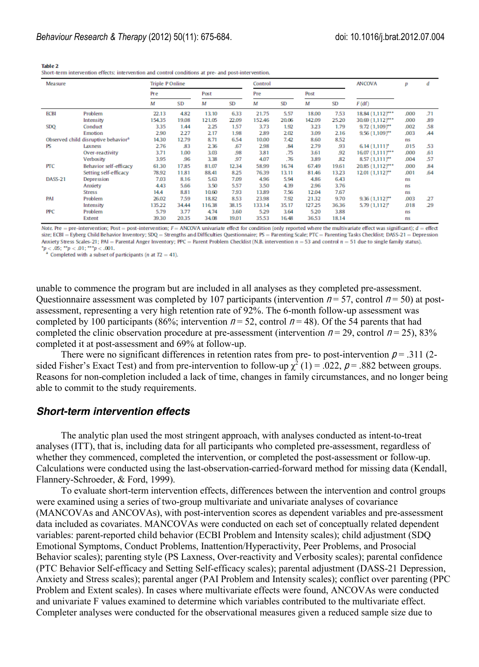| <b>Measure</b> |                                                 | <b>Triple P Online</b> |           |        |           | Control |           |        |           | <b>ANCOVA</b>               | р    | ₫         |
|----------------|-------------------------------------------------|------------------------|-----------|--------|-----------|---------|-----------|--------|-----------|-----------------------------|------|-----------|
|                |                                                 | Pre                    |           | Post   |           | Pre     |           | Post   |           |                             |      |           |
|                |                                                 | м                      | <b>SD</b> | м      | <b>SD</b> | M       | <b>SD</b> | М      | <b>SD</b> | F(df)                       |      |           |
| <b>ECBI</b>    | Problem                                         | 22.13                  | 4.82      | 13.10  | 6.33      | 21.75   | 5.57      | 18.00  | 7.53      | 18.84 (1,112)***            | .000 | .71       |
|                | Intensity                                       | 154.35                 | 19.08     | 121.05 | 22.09     | 152.46  | 20.06     | 142.09 | 25.20     | 30.69 (1,112)***            | .000 | .89       |
| SDQ            | Conduct                                         | 3.35                   | 1.44      | 2.25   | 1.57      | 3.73    | 1.92      | 3.23   | 1.79      | $9.72(1,109)$ <sup>**</sup> | .002 | .58       |
|                | Emotion                                         | 2.90                   | 2.27      | 2.17   | 1.98      | 2.89    | 2.02      | 3.09   | 2.16      | $9.56(1,109)^{**}$          | .003 | <b>A4</b> |
|                | Observed child disruptive behavior <sup>3</sup> | 14.30                  | 12.79     | 8.71   | 6.54      | 10.00   | 7.42      | 8.60   | 8.52      |                             | ns   |           |
| PS             | Laxness                                         | 2.76                   | .83       | 2.36   | .67       | 2.98    | .84       | 2.79   | .93       | $6.14(1.111)^*$             | .015 | .53       |
|                | Over-reactivity                                 | 3.71                   | 1.00      | 3.03   | .98       | 3.81    | .75       | 3.61   | .92       | $16.07(1,111)***$           | .000 | .61       |
|                | Verbosity                                       | 3.95                   | .96       | 3.38   | 97        | 4.07    | .76       | 3.89   | .82       | $8.57(1,111)^{**}$          | .004 | .57       |
| <b>PTC</b>     | Behavior self-efficacy                          | 61.30                  | 17.85     | 81.07  | 12.34     | 58.99   | 16.74     | 67.49  | 19.61     | 20.85 (1,112)***            | .000 | .84       |
|                | Setting self-efficacy                           | 78.92                  | 11.81     | 88.41  | 8.25      | 76.39   | 13.11     | 81.46  | 13.23     | $12.01(1.112)^{**}$         | .001 | .64       |
| DASS-21        | Depression                                      | 7.03                   | 8.16      | 5.63   | 7.09      | 4.96    | 5.94      | 4.86   | 6.43      |                             | ns   |           |
|                | Anxiety                                         | 4.43                   | 5.66      | 3.50   | 5.57      | 3.50    | 4.39      | 2.96   | 3.76      |                             | ns   |           |
|                | <b>Stress</b>                                   | 14.4                   | 8.81      | 10.60  | 7.93      | 13.89   | 7.56      | 12.04  | 7.67      |                             | ns   |           |
| PAI            | Problem                                         | 26.02                  | 7.59      | 18.82  | 8.53      | 23.98   | 7.92      | 21.32  | 9.70      | $9.36(1.112)$ **            | .003 | 27        |
|                | Intensity                                       | 135.22                 | 34.44     | 116.38 | 38.15     | 133.14  | 35.17     | 127.25 | 36.36     | $5.79(1,112)^*$             | .018 | 29        |
| <b>PPC</b>     | Problem                                         | 5.79                   | 3.77      | 4.74   | 3.60      | 5.29    | 3.64      | 5.20   | 3,88      |                             | ns   |           |
|                | Extent                                          | 39.30                  | 20.35     | 34.08  | 19.01     | 35.53   | 16.48     | 36.53  | 18.14     |                             | ns   |           |
|                |                                                 |                        |           |        |           |         |           |        |           |                             |      |           |

Table 2 Short-term intervention effects: intervention and control conditions at pre- and post-intervention.

Note. Pre = pre-intervention; Post = post-intervention;  $F = ANCOVA$  univariate effect for condition (only reported where the multivariate effect was significant);  $d =$  effect size; ECBI = Eyberg Child Behavior Inventory; SDQ = Strengths and Difficulties Questionnaire; PS = Parenting Scale; PTC = Parenting Tasks Checklist; DASS-21 = Depression size; ECBI = Eyberg Child Behavior Inventory; SDQ = Strengths and Difficulties Questionnaire; PS = Parenting Scale; PTC = Parenting Tasks Checklist; DASS-21 = Depidding Anxiety Stress Scales-21; PAI = Parental Anger Inven

<sup>a</sup> Completed with a subset of participants (*n* at  $T2 = 41$ ).

unable to commence the program but are included in all analyses as they completed pre-assessment. Questionnaire assessment was completed by 107 participants (intervention  $n = 57$ , control  $n = 50$ ) at postassessment, representing a very high retention rate of 92%. The 6-month follow-up assessment was completed by 100 participants (86%; intervention  $n = 52$ , control  $n = 48$ ). Of the 54 parents that had completed the clinic observation procedure at pre-assessment (intervention  $n = 29$ , control  $n = 25$ ), 83% completed it at post-assessment and 69% at follow-up.

There were no significant differences in retention rates from pre- to post-intervention  $p = .311$  (2sided Fisher's Exact Test) and from pre-intervention to follow-up  $\chi^2$  (1) = .022,  $\rho$  = .882 between groups. Reasons for non-completion included a lack of time, changes in family circumstances, and no longer being able to commit to the study requirements.

#### *Short-term intervention effects*

The analytic plan used the most stringent approach, with analyses conducted as intent-to-treat analyses (ITT), that is, including data for all participants who completed pre-assessment, regardless of whether they commenced, completed the intervention, or completed the post-assessment or follow-up. Calculations were conducted using the last-observation-carried-forward method for missing data (Kendall, Flannery-Schroeder, & Ford, 1999).

To evaluate short-term intervention effects, differences between the intervention and control groups were examined using a series of two-group multivariate and univariate analyses of covariance (MANCOVAs and ANCOVAs), with post-intervention scores as dependent variables and pre-assessment data included as covariates. MANCOVAs were conducted on each set of conceptually related dependent variables: parent-reported child behavior (ECBI Problem and Intensity scales); child adjustment (SDQ Emotional Symptoms, Conduct Problems, Inattention/Hyperactivity, Peer Problems, and Prosocial Behavior scales); parenting style (PS Laxness, Over-reactivity and Verbosity scales); parental confidence (PTC Behavior Self-efficacy and Setting Self-efficacy scales); parental adjustment (DASS-21 Depression, Anxiety and Stress scales); parental anger (PAI Problem and Intensity scales); conflict over parenting (PPC Problem and Extent scales). In cases where multivariate effects were found, ANCOVAs were conducted and univariate F values examined to determine which variables contributed to the multivariate effect. Completer analyses were conducted for the observational measures given a reduced sample size due to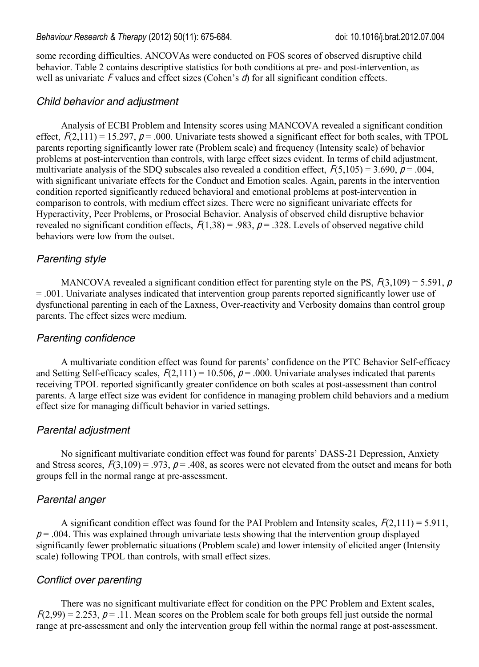some recording difficulties. ANCOVAs were conducted on FOS scores of observed disruptive child behavior. Table 2 contains descriptive statistics for both conditions at pre- and post-intervention, as well as univariate F values and effect sizes (Cohen's  $d$ ) for all significant condition effects.

### *Child behavior and adjustment*

Analysis of ECBI Problem and Intensity scores using MANCOVA revealed a significant condition effect,  $F(2,111) = 15.297$ ,  $p = .000$ . Univariate tests showed a significant effect for both scales, with TPOL parents reporting significantly lower rate (Problem scale) and frequency (Intensity scale) of behavior problems at post-intervention than controls, with large effect sizes evident. In terms of child adjustment, multivariate analysis of the SDQ subscales also revealed a condition effect,  $F(5,105) = 3.690$ ,  $p = .004$ , with significant univariate effects for the Conduct and Emotion scales. Again, parents in the intervention condition reported significantly reduced behavioral and emotional problems at post-intervention in comparison to controls, with medium effect sizes. There were no significant univariate effects for Hyperactivity, Peer Problems, or Prosocial Behavior. Analysis of observed child disruptive behavior revealed no significant condition effects,  $F(1,38) = .983$ ,  $p = .328$ . Levels of observed negative child behaviors were low from the outset.

# *Parenting style*

MANCOVA revealed a significant condition effect for parenting style on the PS,  $F(3,109) = 5.591$ , p = .001. Univariate analyses indicated that intervention group parents reported significantly lower use of dysfunctional parenting in each of the Laxness, Over-reactivity and Verbosity domains than control group parents. The effect sizes were medium.

### *Parenting confidence*

A multivariate condition effect was found for parents' confidence on the PTC Behavior Self-efficacy and Setting Self-efficacy scales,  $F(2,111) = 10.506$ ,  $p = .000$ . Univariate analyses indicated that parents receiving TPOL reported significantly greater confidence on both scales at post-assessment than control parents. A large effect size was evident for confidence in managing problem child behaviors and a medium effect size for managing difficult behavior in varied settings.

### *Parental adjustment*

No significant multivariate condition effect was found for parents' DASS-21 Depression, Anxiety and Stress scores,  $F(3,109) = .973$ ,  $p = .408$ , as scores were not elevated from the outset and means for both groups fell in the normal range at pre-assessment.

### *Parental anger*

A significant condition effect was found for the PAI Problem and Intensity scales,  $F(2,111) = 5.911$ ,  $p = .004$ . This was explained through univariate tests showing that the intervention group displayed significantly fewer problematic situations (Problem scale) and lower intensity of elicited anger (Intensity scale) following TPOL than controls, with small effect sizes.

# *Conflict over parenting*

There was no significant multivariate effect for condition on the PPC Problem and Extent scales,  $F(2,99) = 2.253$ ,  $p = 0.11$ . Mean scores on the Problem scale for both groups fell just outside the normal range at pre-assessment and only the intervention group fell within the normal range at post-assessment.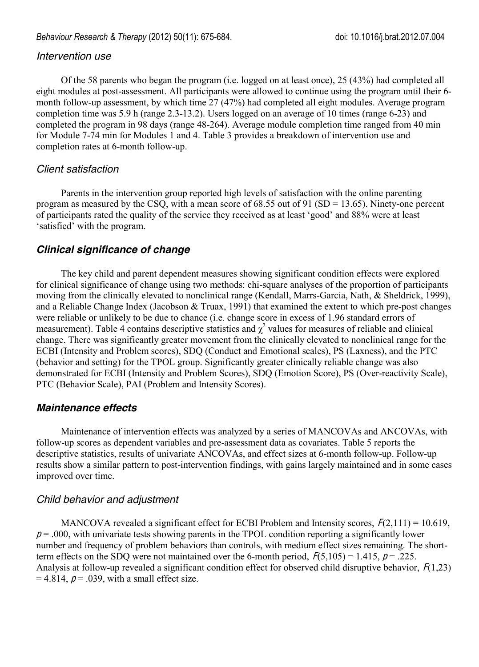#### *Intervention use*

Of the 58 parents who began the program (i.e. logged on at least once), 25 (43%) had completed all eight modules at post-assessment. All participants were allowed to continue using the program until their 6 month follow-up assessment, by which time 27 (47%) had completed all eight modules. Average program completion time was 5.9 h (range 2.3-13.2). Users logged on an average of 10 times (range 6-23) and completed the program in 98 days (range 48-264). Average module completion time ranged from 40 min for Module 7-74 min for Modules 1 and 4. Table 3 provides a breakdown of intervention use and completion rates at 6-month follow-up.

### *Client satisfaction*

Parents in the intervention group reported high levels of satisfaction with the online parenting program as measured by the CSQ, with a mean score of 68.55 out of 91 (SD = 13.65). Ninety-one percent of participants rated the quality of the service they received as at least 'good' and 88% were at least 'satisfied' with the program.

# *Clinical significance of change*

The key child and parent dependent measures showing significant condition effects were explored for clinical significance of change using two methods: chi-square analyses of the proportion of participants moving from the clinically elevated to nonclinical range (Kendall, Marrs-Garcia, Nath, & Sheldrick, 1999), and a Reliable Change Index (Jacobson & Truax, 1991) that examined the extent to which pre-post changes were reliable or unlikely to be due to chance (i.e. change score in excess of 1.96 standard errors of measurement). Table 4 contains descriptive statistics and  $\chi^2$  values for measures of reliable and clinical change. There was significantly greater movement from the clinically elevated to nonclinical range for the ECBI (Intensity and Problem scores), SDQ (Conduct and Emotional scales), PS (Laxness), and the PTC (behavior and setting) for the TPOL group. Significantly greater clinically reliable change was also demonstrated for ECBI (Intensity and Problem Scores), SDQ (Emotion Score), PS (Over-reactivity Scale), PTC (Behavior Scale), PAI (Problem and Intensity Scores).

# *Maintenance effects*

Maintenance of intervention effects was analyzed by a series of MANCOVAs and ANCOVAs, with follow-up scores as dependent variables and pre-assessment data as covariates. Table 5 reports the descriptive statistics, results of univariate ANCOVAs, and effect sizes at 6-month follow-up. Follow-up results show a similar pattern to post-intervention findings, with gains largely maintained and in some cases improved over time.

### *Child behavior and adjustment*

MANCOVA revealed a significant effect for ECBI Problem and Intensity scores,  $F(2,111) = 10.619$ ,  $p = .000$ , with univariate tests showing parents in the TPOL condition reporting a significantly lower number and frequency of problem behaviors than controls, with medium effect sizes remaining. The shortterm effects on the SDQ were not maintained over the 6-month period,  $F(5,105) = 1.415$ ,  $p = .225$ . Analysis at follow-up revealed a significant condition effect for observed child disruptive behavior,  $F(1,23)$  $= 4.814$ ,  $p = .039$ , with a small effect size.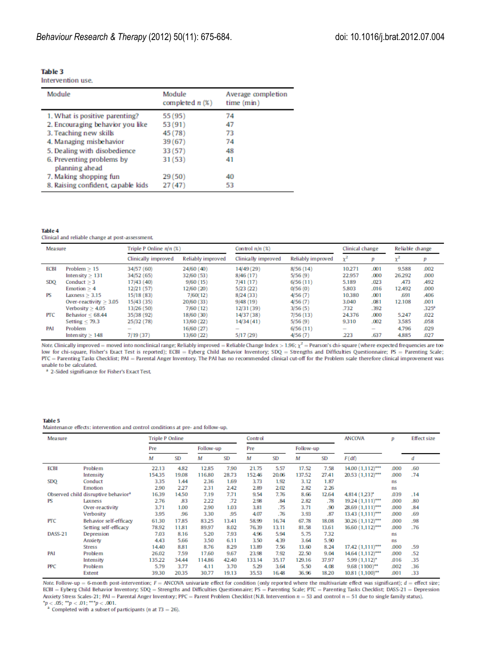Intervention use.

| Module                                      | Module<br>completed $n(\%)$ | Average completion<br>time (min) |
|---------------------------------------------|-----------------------------|----------------------------------|
| 1. What is positive parenting?              | 55 (95)                     | 74                               |
| 2. Encouraging behavior you like            | 53 (91)                     | 47                               |
| 3. Teaching new skills                      | 45 (78)                     | 73                               |
| 4. Managing misbehavior                     | 39 (67)                     | 74                               |
| 5. Dealing with disobedience                | 33 (57)                     | 48                               |
| 6. Preventing problems by<br>planning ahead | 31 (53)                     | 41                               |
| 7. Making shopping fun                      | 29(50)                      | 40                               |
| 8. Raising confident, capable kids          | 27 (47)                     | 53                               |

#### **Table 4**

Clinical and reliable change at post-assessment.

| <b>Measure</b> |                          | Triple P Online n/n (%)                                                                        |                   | Control $n/n$ (%)        | Clinical change   |                          | Reliable change                                                                                |            |                   |
|----------------|--------------------------|------------------------------------------------------------------------------------------------|-------------------|--------------------------|-------------------|--------------------------|------------------------------------------------------------------------------------------------|------------|-------------------|
|                |                          | Clinically improved                                                                            | Reliably improved | Clinically improved      | Reliably improved | $x^2$                    |                                                                                                | v          |                   |
| <b>ECBI</b>    | Problem $> 15$           | 34/57 (60)                                                                                     | 24/60 (40)        | 14/49 (29)               | 8/56(14)          | 10.271                   | .001                                                                                           | 9.588      | .002              |
|                | Intensity $> 131$        | 34/52 (65)                                                                                     | 32/60 (53)        | 8/46 (17)                | 5/56(9)           | 22.957                   | .000                                                                                           | 26.292     | .000              |
| <b>SDO</b>     | Conduct $> 3$            | 17/43 (40)                                                                                     | 9/60(15)          | 7/41 (17)                | 6/56(11)          | 5.189                    | .023                                                                                           | <b>A73</b> | <b>A92</b>        |
|                | Emotion $> 4$            | 12/21 (57)                                                                                     | 12/60 (20)        | 5/23 (22)                | 0/56(0)           | 5,803                    | .016                                                                                           | 12,492     | .000              |
| PS             | Laxness > 3.15           | 15/18(83)                                                                                      | 7/60(12)          | 8/24(33)                 | 4/56(7)           | 10.380                   | .001                                                                                           | .691       | .406              |
|                | Over-reactivity $>$ 3.05 | 15/43(35)                                                                                      | 20/60 (33)        | 9/48(19)                 | 4/56(7)           | 3.040                    | .081                                                                                           | 12,108     | .001              |
|                | Verbosity $> 4.05$       | 13/26 (50)                                                                                     | 7/60 (12)         | 12/31 (39)               | 3/56(5)           | .732                     | .392                                                                                           |            | .325 <sup>2</sup> |
| <b>PTC</b>     | Behavior $< 68.44$       | 35/38 (92)                                                                                     | 18/60 (30)        | 14/37 (38)               | 7/56(13)          | 24.376                   | .000                                                                                           | 5.247      | .022              |
|                | Setting $<$ 79.3         | 25/32 (78)                                                                                     | 13/60 (22)        | 14/34(41)                | 5/56(9)           | 9.310                    | .002                                                                                           | 3.585      | .058              |
| <b>PAI</b>     | Problem                  | $\frac{1}{2} \left( \frac{1}{2} \right) \left( \frac{1}{2} \right) \left( \frac{1}{2} \right)$ | 16/60 (27)        | $\overline{\phantom{a}}$ | 6/56(11)          | $\overline{\phantom{a}}$ | $\frac{1}{2} \left( \frac{1}{2} \right) \left( \frac{1}{2} \right) \left( \frac{1}{2} \right)$ | 4.796      | .029              |
|                | Intensity $> 148$        | 7/19(37)                                                                                       | 13/60 (22)        | 5/17(29)                 | 4/56(7)           | .223                     | .637                                                                                           | 4,885      | .027              |

Note Clinically improved = moved into nonclinical range; Reliably improved = Reliable Change Index > 1.96;  $\chi^2$  = Pearson's chi-square (where expected frequencies are too low for chi-square, Fisher's Exact Test is repor unable to be calculated.

<sup>a</sup> 2-Sided significance for Fisher's Exact Test.

#### **Table 5**

Maintenance effects; intervention and control conditions at pre- and follow-up.

| Measure     |                                                 | <b>Triple P Online</b> |           |           | Control   |        |           |           | <b>ANCOVA</b> | р                  | <b>Effect size</b> |     |
|-------------|-------------------------------------------------|------------------------|-----------|-----------|-----------|--------|-----------|-----------|---------------|--------------------|--------------------|-----|
|             |                                                 | Pre                    |           | Follow-up |           | Pre    |           | Follow-up |               |                    |                    |     |
|             |                                                 | м                      | <b>SD</b> | М         | <b>SD</b> | м      | <b>SD</b> | м         | <b>SD</b>     | F(df)              |                    | ₫   |
| <b>ECBI</b> | Problem                                         | 22.13                  | 4.82      | 12.85     | 7.90      | 21.75  | 5.57      | 17.52     | 7.58          | $14.00(1,112)$ *** | .000               | .60 |
|             | Intensity                                       | 154.35                 | 19.08     | 116.80    | 28.73     | 152.46 | 20.06     | 137.52    | 27.41         | 20.53 (1,112)***   | .000               | .74 |
| <b>SDQ</b>  | Conduct                                         | 3.35                   | 1.44      | 2.36      | 1.69      | 3.73   | 1.92      | 3.12      | 1.87          |                    | ns                 |     |
|             | Emotion                                         | 2.90                   | 2.27      | 2.31      | 2.42      | 2.89   | 2.02      | 2.82      | 2.26          |                    | ns                 |     |
|             | Observed child disruptive behavior <sup>a</sup> | 16.39                  | 14.50     | 7.19      | 7.71      | 9.54   | 7.76      | 8.66      | 12.64         | 4.814 (1,23)*      | .039               | .14 |
| PS          | Laxness                                         | 2.76                   | 83        | 2.22      | .72       | 2.98   | .84       | 2.82      | .78           | $19.24(1,111)$ *** | .000               | .80 |
|             | Over-reactivity                                 | 3.71                   | 1.00      | 2.90      | 1.03      | 3.81   | .75       | 3.71      | .90           | $28.69(1,111)$ *** | .000               | .84 |
|             | Verbosity                                       | 3.95                   | .96       | 3.30      | .95       | 4.07   | .76       | 3.93      | .87           | $13.43(1,111)$ *** | .000               | .69 |
| <b>PTC</b>  | Behavior self-efficacy                          | 61.30                  | 17.85     | 83.25     | 13.41     | 58.99  | 16.74     | 67.78     | 18.08         | 30.26 (1.112)***   | .000               | .98 |
|             | Setting self-efficacy                           | 78.92                  | 11.81     | 89.97     | 8.02      | 76.39  | 13.11     | 81.58     | 13.61         | $16.60(1,112)$ *** | .000               | .76 |
| DASS-21     | <b>Depression</b>                               | 7.03                   | 8.16      | 5.20      | 7.93      | 4.96   | 5.94      | 5.75      | 7.32          |                    | ns                 |     |
|             | Anxiety                                         | 4.43                   | 5.66      | 3.50      | 6.11      | 3.50   | 4.39      | 3.64      | 5.90          |                    | ns                 |     |
|             | <b>Stress</b>                                   | 14.40                  | 8.81      | 8.76      | 8.29      | 13.89  | 7.56      | 13.60     | 8.24          | $17.42(1,111)$ *** | .000               | .59 |
| PAI         | Problem                                         | 26.02                  | 7.59      | 17.60     | 9.67      | 23.98  | 7.92      | 22.50     | 9.04          | 14.64 (1,112)***   | .000               | .52 |
|             | Intensity                                       | 135.22                 | 34.44     | 114.86    | 42.40     | 133.14 | 35.17     | 129.16    | 37.97         | $5.99(1,112)^*$    | .016               | .35 |
| <b>PPC</b>  | Problem                                         | 5.79                   | 3.77      | 4.11      | 3.70      | 5.29   | 3.64      | 5.50      | 4.08          | $9.68(1100)$ **    | .002               | .36 |
|             | <b>Extent</b>                                   | 39.30                  | 20.35     | 30.77     | 19.13     | 35.53  | 16.48     | 36.96     | 18.20         | $10.81(1,100)$ **  | .001               | .33 |

Note, Follow-up = 6-month post-intervention;  $F = ANCOVA$  univariate effect for condition (only reported where the multivariate effect was significant);  $d =$  effect size; ECBI = Eyberg Child Behavior Inventory; SDQ = Strengths and Difficulties Questionnaire; PS = Parenting Scale; PTC = Parenting Tasks Checklist; DASS-21 = Depression Anxiety Stress Scales-21; PAI = Parental Anger Inventory; PPC = Parent Problem Checklist (N.B. Intervention  $n = 53$  and control  $n = 51$  due to single family status).  $p < .05$ ; " $p < .01$ ; "" $p < .001$ .<br>" $p < .001$ ."  $p < .001$ .<br>"Completed with a subset of participants (*n* at *T3* = 26).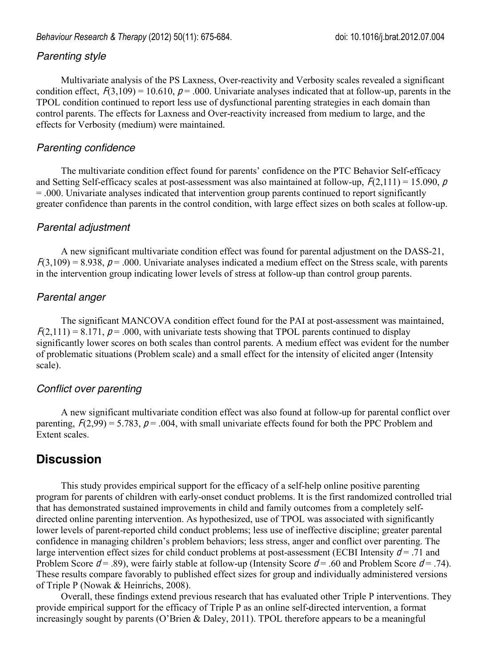## *Parenting style*

Multivariate analysis of the PS Laxness, Over-reactivity and Verbosity scales revealed a significant condition effect,  $F(3,109) = 10.610$ ,  $p = .000$ . Univariate analyses indicated that at follow-up, parents in the TPOL condition continued to report less use of dysfunctional parenting strategies in each domain than control parents. The effects for Laxness and Over-reactivity increased from medium to large, and the effects for Verbosity (medium) were maintained.

### *Parenting confidence*

The multivariate condition effect found for parents' confidence on the PTC Behavior Self-efficacy and Setting Self-efficacy scales at post-assessment was also maintained at follow-up,  $F(2,111) = 15.090$ , p = .000. Univariate analyses indicated that intervention group parents continued to report significantly greater confidence than parents in the control condition, with large effect sizes on both scales at follow-up.

### *Parental adjustment*

A new significant multivariate condition effect was found for parental adjustment on the DASS-21,  $F(3,109) = 8.938$ ,  $p = .000$ . Univariate analyses indicated a medium effect on the Stress scale, with parents in the intervention group indicating lower levels of stress at follow-up than control group parents.

## *Parental anger*

The significant MANCOVA condition effect found for the PAI at post-assessment was maintained,  $F(2,111) = 8.171$ ,  $p = .000$ , with univariate tests showing that TPOL parents continued to display significantly lower scores on both scales than control parents. A medium effect was evident for the number of problematic situations (Problem scale) and a small effect for the intensity of elicited anger (Intensity scale).

### *Conflict over parenting*

A new significant multivariate condition effect was also found at follow-up for parental conflict over parenting,  $F(2,99) = 5.783$ ,  $p = .004$ , with small univariate effects found for both the PPC Problem and Extent scales.

# **Discussion**

This study provides empirical support for the efficacy of a self-help online positive parenting program for parents of children with early-onset conduct problems. It is the first randomized controlled trial that has demonstrated sustained improvements in child and family outcomes from a completely selfdirected online parenting intervention. As hypothesized, use of TPOL was associated with significantly lower levels of parent-reported child conduct problems; less use of ineffective discipline; greater parental confidence in managing children's problem behaviors; less stress, anger and conflict over parenting. The large intervention effect sizes for child conduct problems at post-assessment (ECBI Intensity  $d = .71$  and Problem Score  $d = .89$ ), were fairly stable at follow-up (Intensity Score  $d = .60$  and Problem Score  $d = .74$ ). These results compare favorably to published effect sizes for group and individually administered versions of Triple P (Nowak & Heinrichs, 2008).

Overall, these findings extend previous research that has evaluated other Triple P interventions. They provide empirical support for the efficacy of Triple P as an online self-directed intervention, a format increasingly sought by parents (O'Brien & Daley, 2011). TPOL therefore appears to be a meaningful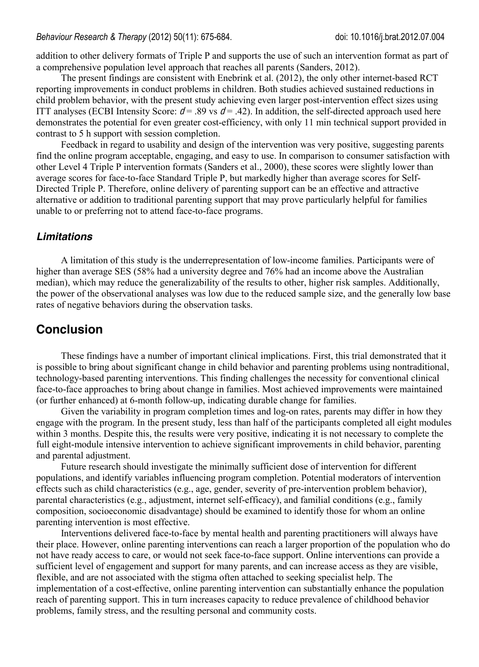addition to other delivery formats of Triple P and supports the use of such an intervention format as part of a comprehensive population level approach that reaches all parents (Sanders, 2012).

The present findings are consistent with Enebrink et al. (2012), the only other internet-based RCT reporting improvements in conduct problems in children. Both studies achieved sustained reductions in child problem behavior, with the present study achieving even larger post-intervention effect sizes using ITT analyses (ECBI Intensity Score:  $d = .89$  vs  $d = .42$ ). In addition, the self-directed approach used here demonstrates the potential for even greater cost-efficiency, with only 11 min technical support provided in contrast to 5 h support with session completion.

Feedback in regard to usability and design of the intervention was very positive, suggesting parents find the online program acceptable, engaging, and easy to use. In comparison to consumer satisfaction with other Level 4 Triple P intervention formats (Sanders et al., 2000), these scores were slightly lower than average scores for face-to-face Standard Triple P, but markedly higher than average scores for Self-Directed Triple P. Therefore, online delivery of parenting support can be an effective and attractive alternative or addition to traditional parenting support that may prove particularly helpful for families unable to or preferring not to attend face-to-face programs.

## *Limitations*

A limitation of this study is the underrepresentation of low-income families. Participants were of higher than average SES (58% had a university degree and 76% had an income above the Australian median), which may reduce the generalizability of the results to other, higher risk samples. Additionally, the power of the observational analyses was low due to the reduced sample size, and the generally low base rates of negative behaviors during the observation tasks.

# **Conclusion**

These findings have a number of important clinical implications. First, this trial demonstrated that it is possible to bring about significant change in child behavior and parenting problems using nontraditional, technology-based parenting interventions. This finding challenges the necessity for conventional clinical face-to-face approaches to bring about change in families. Most achieved improvements were maintained (or further enhanced) at 6-month follow-up, indicating durable change for families.

Given the variability in program completion times and log-on rates, parents may differ in how they engage with the program. In the present study, less than half of the participants completed all eight modules within 3 months. Despite this, the results were very positive, indicating it is not necessary to complete the full eight-module intensive intervention to achieve significant improvements in child behavior, parenting and parental adjustment.

Future research should investigate the minimally sufficient dose of intervention for different populations, and identify variables influencing program completion. Potential moderators of intervention effects such as child characteristics (e.g., age, gender, severity of pre-intervention problem behavior), parental characteristics (e.g., adjustment, internet self-efficacy), and familial conditions (e.g., family composition, socioeconomic disadvantage) should be examined to identify those for whom an online parenting intervention is most effective.

Interventions delivered face-to-face by mental health and parenting practitioners will always have their place. However, online parenting interventions can reach a larger proportion of the population who do not have ready access to care, or would not seek face-to-face support. Online interventions can provide a sufficient level of engagement and support for many parents, and can increase access as they are visible, flexible, and are not associated with the stigma often attached to seeking specialist help. The implementation of a cost-effective, online parenting intervention can substantially enhance the population reach of parenting support. This in turn increases capacity to reduce prevalence of childhood behavior problems, family stress, and the resulting personal and community costs.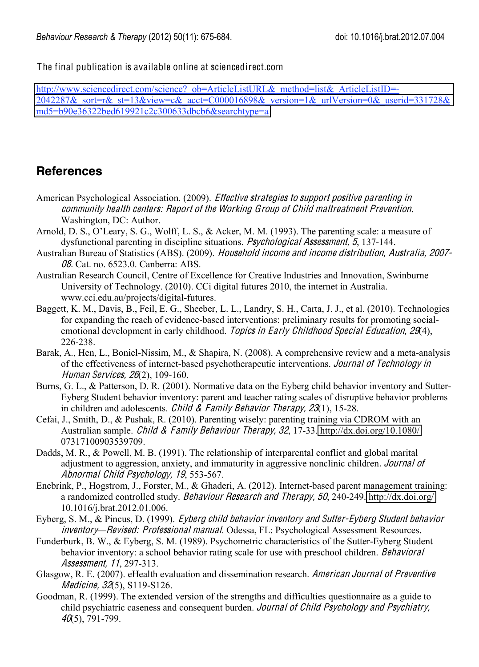The final publication is available online at sciencedirect.com

[http://www.sciencedirect.com/science?\\_ob=ArticleListURL&\\_method=list&\\_ArticleListID=-](http://www.sciencedirect.com/science?_ob=ArticleListURL&_method=list&_ArticleListID=-2042287&_sort=r&_st=13&view=c&_acct=C000016898&_version=1&_urlVersion=0&_userid=331728&md5=b90e36322bed619921c2c300633dbcb6&searchtype=a) [2042287&\\_sort=r&\\_st=13&view=c&\\_acct=C000016898&\\_version=1&\\_urlVersion=0&\\_userid=331728&](http://www.sciencedirect.com/science?_ob=ArticleListURL&_method=list&_ArticleListID=-2042287&_sort=r&_st=13&view=c&_acct=C000016898&_version=1&_urlVersion=0&_userid=331728&md5=b90e36322bed619921c2c300633dbcb6&searchtype=a) [md5=b90e36322bed619921c2c300633dbcb6&searchtype=a](http://www.sciencedirect.com/science?_ob=ArticleListURL&_method=list&_ArticleListID=-2042287&_sort=r&_st=13&view=c&_acct=C000016898&_version=1&_urlVersion=0&_userid=331728&md5=b90e36322bed619921c2c300633dbcb6&searchtype=a)

# **References**

- American Psychological Association. (2009). *Effective strategies to support positive parenting in* <sup>c</sup>ommunity health centers: Repor<sup>t</sup> <sup>o</sup>f <sup>t</sup>h<sup>e</sup> Working Group <sup>o</sup>f Child <sup>m</sup>altreatmen<sup>t</sup> Prevention. Washington, DC: Author.
- Arnold, D. S., O'Leary, S. G., Wolff, L. S., & Acker, M. M. (1993). The parenting scale: a measure of dysfunctional parenting in discipline situations. Psy<sup>c</sup>hological Assessment, 5, 137-144.
- Australian Bureau of Statistics (ABS). (2009). Household incom<sup>e</sup> and incom<sup>e</sup> distribution, Australia, 2007- 08. Cat. no. 6523.0. Canberra: ABS.
- Australian Research Council, Centre of Excellence for Creative Industries and Innovation, Swinburne University of Technology. (2010). CCi digital futures 2010, the internet in Australia. www.cci.edu.au/projects/digital-futures.
- Baggett, K. M., Davis, B., Feil, E. G., Sheeber, L. L., Landry, S. H., Carta, J. J., et al. (2010). Technologies for expanding the reach of evidence-based interventions: preliminary results for promoting socialemotional development in early childhood. Topics in Early Childhood Special Education, 29(4), 226-238.
- Barak, A., Hen, L., Boniel-Nissim, M., & Shapira, N. (2008). A comprehensive review and a meta-analysis of the effectiveness of internet-based psychotherapeutic interventions. Journal <sup>o</sup>f Technology in Human Services, 26(2), 109-160.
- Burns, G. L., & Patterson, D. R. (2001). Normative data on the Eyberg child behavior inventory and Sutter-Eyberg Student behavior inventory: parent and teacher rating scales of disruptive behavior problems in children and adolescents. Child & Family Behavior Therapy,  $23(1)$ , 15-28.
- Cefai, J., Smith, D., & Pushak, R. (2010). Parenting wisely: parenting training via CDROM with an Australian sample. Child & Family Behaviour Therapy, 32, 17-33. <http://dx.doi.org/10.1080/> 07317100903539709.
- Dadds, M. R., & Powell, M. B. (1991). The relationship of interparental conflict and global marital adjustment to aggression, anxiety, and immaturity in aggressive nonclinic children. Journal <sup>o</sup>f Abnormal Child Psy<sup>c</sup>hology, 19, 553-567.
- Enebrink, P., Hogstrom, J., Forster, M., & Ghaderi, A. (2012). Internet-based parent management training: a randomized controlled study. Behaviour Research and Therapy, 50, 240-249.<http://dx.doi.org/> 10.1016/j.brat.2012.01.006.
- Eyberg, S. M., & Pincus, D. (1999). Eyb<sup>e</sup>rg <sup>c</sup>hild behavior inventory and Sutter-Eyb<sup>e</sup>rg Studen<sup>t</sup> behavior inventory*—*Revised: Professional <sup>m</sup>anual. Odessa, FL: Psychological Assessment Resources.
- Funderburk, B. W., & Eyberg, S. M. (1989). Psychometric characteristics of the Sutter-Eyberg Student behavior inventory: a school behavior rating scale for use with preschool children. *Behavioral* Assessment, 11, 297-313.
- Glasgow, R. E. (2007). eHealth evaluation and dissemination research. American Journal of Preventive Medicine, 32(5), S119-S126.
- Goodman, R. (1999). The extended version of the strengths and difficulties questionnaire as a guide to child psychiatric caseness and consequent burden. Journal of Child Psychology and Psychiatry,  $40(5)$ , 791-799.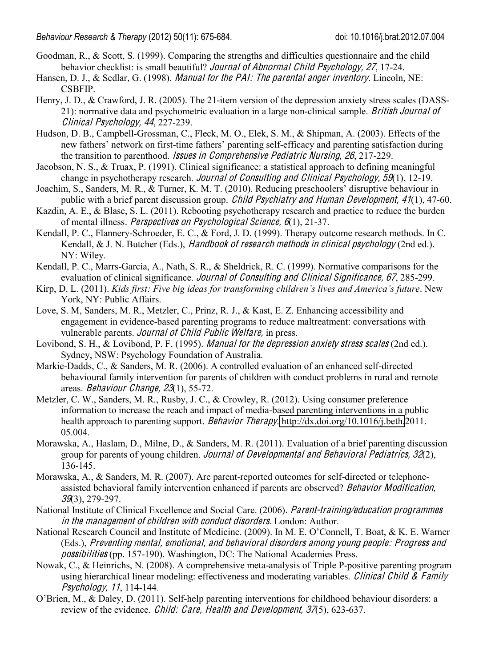- Goodman, R., & Scott, S. (1999). Comparing the strengths and difficulties questionnaire and the child behavior checklist: is small beautiful? Journal <sup>o</sup>f Abnormal Child Psy<sup>c</sup>hology, 27, 17-24.
- Hansen, D. J., & Sedlar, G. (1998). *Manual for the PAI: The parental anger inventory*. Lincoln, NE: CSBFIP.
- Henry, J. D., & Crawford, J. R. (2005). The 21-item version of the depression anxiety stress scales (DASS-21): normative data and psychometric evaluation in a large non-clinical sample. British Journal <sup>o</sup>f Clinical Psy<sup>c</sup>hology, 44, 227-239.
- Hudson, D. B., Campbell-Grossman, C., Fleck, M. O., Elek, S. M., & Shipman, A. (2003). Effects of the new fathers' network on first-time fathers' parenting self-efficacy and parenting satisfaction during the transition to parenthood. Issue<sup>s</sup> in Comprehensiv<sup>e</sup> Pediatri<sup>c</sup> Nursing, 26, 217-229.
- Jacobson, N. S., & Truax, P. (1991). Clinical significance: a statistical approach to defining meaningful change in psychotherapy research. *Journal of Consulting and Clinical Psychology, 59*(1), 12-19.
- Joachim, S., Sanders, M. R., & Turner, K. M. T. (2010). Reducing preschoolers' disruptive behaviour in public with a brief parent discussion group. *Child Psychiatry and Human Development*, 41(1), 47-60.
- Kazdin, A. E., & Blase, S. L. (2011). Rebooting psychotherapy research and practice to reduce the burden of mental illness. Perspective<sup>s</sup> on Psy<sup>c</sup>hological Science, 6(1), 21-37.
- Kendall, P. C., Flannery-Schroeder, E. C., & Ford, J. D. (1999). Therapy outcome research methods. In C. Kendall, & J. N. Butcher (Eds.), Handbook of research methods in clinical psychology (2nd ed.). NY: Wiley.
- Kendall, P. C., Marrs-Garcia, A., Nath, S. R., & Sheldrick, R. C. (1999). Normative comparisons for the evaluation of clinical significance. Journal of Consulting and Clinical Significance, 67, 285-299.
- Kirp, D. L. (2011). *Kids first: Five big ideas for transforming children's lives and America's future*. New York, NY: Public Affairs.
- Love, S. M, Sanders, M. R., Metzler, C., Prinz, R. J., & Kast, E. Z. Enhancing accessibility and engagement in evidence-based parenting programs to reduce maltreatment: conversations with vulnerable parents. Journal <sup>o</sup>f Child Publi<sup>c</sup> Welfare, in press.
- Lovibond, S. H., & Lovibond, P. F. (1995). *Manual for the depression anxiety stress scales* (2nd ed.). Sydney, NSW: Psychology Foundation of Australia.
- Markie-Dadds, C., & Sanders, M. R. (2006). A controlled evaluation of an enhanced self-directed behavioural family intervention for parents of children with conduct problems in rural and remote areas. Behaviour Chang<sup>e</sup>, 23(1), 55-72.
- Metzler, C. W., Sanders, M. R., Rusby, J. C., & Crowley, R. (2012). Using consumer preference information to increase the reach and impact of media-based parenting interventions in a public health approach to parenting support. Behavior Therapy. [http://dx.doi.org/10.1016/j.beth.](http://dx.doi.org/10.1016/j.beth)2011. 05.004.
- Morawska, A., Haslam, D., Milne, D., & Sanders, M. R. (2011). Evaluation of a brief parenting discussion group for parents of young children. Journal <sup>o</sup>f Dev<sup>e</sup>lopmental and Behavioral Pediatrics, 32(2), 136-145.
- Morawska, A., & Sanders, M. R. (2007). Are parent-reported outcomes for self-directed or telephoneassisted behavioral family intervention enhanced if parents are observed? Behavior Modification, 39(3), 279-297.
- National Institute of Clinical Excellence and Social Care. (2006). Parent-training/education programme<sup>s</sup> in the management of children with conduct disorders. London: Author.
- National Research Council and Institute of Medicine. (2009). In M. E. O'Connell, T. Boat, & K. E. Warner (Eds.), Preventing <sup>m</sup>ental, <sup>e</sup>motional, and behavioral disorder<sup>s</sup> <sup>a</sup>mong young p<sup>e</sup>opl<sup>e</sup>: Progress and possibilitie<sup>s</sup> (pp. 157-190). Washington, DC: The National Academies Press.
- Nowak, C., & Heinrichs, N. (2008). A comprehensive meta-analysis of Triple P-positive parenting program using hierarchical linear modeling: effectiveness and moderating variables. Clinical Child & Family Psy<sup>c</sup>hology, 11, 114-144.
- O'Brien, M., & Daley, D. (2011). Self-help parenting interventions for childhood behaviour disorders: a review of the evidence. Child: Care, Health and Development, 37(5), 623-637.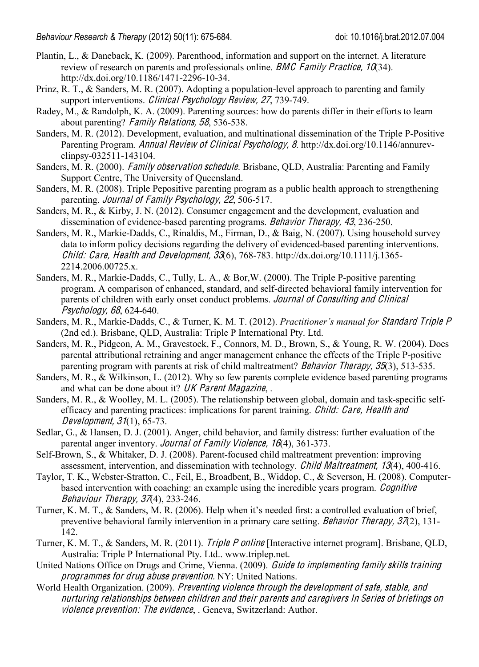- Plantin, L., & Daneback, K. (2009). Parenthood, information and support on the internet. A literature review of research on parents and professionals online. *BMC Family Practice*, 10(34). http://dx.doi.org/10.1186/1471-2296-10-34.
- Prinz, R. T., & Sanders, M. R. (2007). Adopting a population-level approach to parenting and family support interventions. *Clinical Psychology Review, 27, 739-749*.
- Radey, M., & Randolph, K. A. (2009). Parenting sources: how do parents differ in their efforts to learn about parenting? Family Relations, 58, 536-538.
- Sanders, M. R. (2012). Development, evaluation, and multinational dissemination of the Triple P-Positive Parenting Program. Annual Revie<sup>w</sup> <sup>o</sup>f Clinical Psy<sup>c</sup>hology, 8. http://dx.doi.org/10.1146/annurevclinpsy-032511-143104.
- Sanders, M. R. (2000). Family observation schedule. Brisbane, QLD, Australia: Parenting and Family Support Centre, The University of Queensland.
- Sanders, M. R. (2008). Triple Pepositive parenting program as a public health approach to strengthening parenting. Journal of Family Psychology, 22, 506-517.
- Sanders, M. R., & Kirby, J. N. (2012). Consumer engagement and the development, evaluation and dissemination of evidence-based parenting programs. Behavior Therapy, 43, 236-250.
- Sanders, M. R., Markie-Dadds, C., Rinaldis, M., Firman, D., & Baig, N. (2007). Using household survey data to inform policy decisions regarding the delivery of evidenced-based parenting interventions. Child: Care, Health and Development,  $33(6)$ ,  $768-783$ . http://dx.doi.org/10.1111/j.1365-2214.2006.00725.x.
- Sanders, M. R., Markie-Dadds, C., Tully, L. A., & Bor,W. (2000). The Triple P-positive parenting program. A comparison of enhanced, standard, and self-directed behavioral family intervention for parents of children with early onset conduct problems. Journal <sup>o</sup>f Consulting and Clinical Psy<sup>c</sup>hology, 68, 624-640.
- Sanders, M. R., Markie-Dadds, C., & Turner, K. M. T. (2012). *Practitioner's manual for* Standard Tripl<sup>e</sup> P (2nd ed.). Brisbane, QLD, Australia: Triple P International Pty. Ltd.
- Sanders, M. R., Pidgeon, A. M., Gravestock, F., Connors, M. D., Brown, S., & Young, R. W. (2004). Does parental attributional retraining and anger management enhance the effects of the Triple P-positive parenting program with parents at risk of child maltreatment? Behavior Therapy, 35(3), 513-535.
- Sanders, M. R., & Wilkinson, L. (2012). Why so few parents complete evidence based parenting programs and what can be done about it? UK Paren<sup>t</sup> Magazine, .
- Sanders, M. R., & Woolley, M. L. (2005). The relationship between global, domain and task-specific selfefficacy and parenting practices: implications for parent training. *Child: Care, Health and* Dev<sup>e</sup>lopment, 31(1), 65-73.
- Sedlar, G., & Hansen, D. J. (2001). Anger, child behavior, and family distress: further evaluation of the parental anger inventory. Journal of Family Violence, 16(4), 361-373.
- Self-Brown, S., & Whitaker, D. J. (2008). Parent-focused child maltreatment prevention: improving assessment, intervention, and dissemination with technology. Child Maltreatment, 13(4), 400-416.
- Taylor, T. K., Webster-Stratton, C., Feil, E., Broadbent, B., Widdop, C., & Severson, H. (2008). Computerbased intervention with coaching: an example using the incredible years program. Cognitive Behaviour Therapy, 37(4), 233-246.
- Turner, K. M. T., & Sanders, M. R. (2006). Help when it's needed first: a controlled evaluation of brief, preventive behavioral family intervention in a primary care setting. Behavior Therapy,  $37(2)$ , 131-142.
- Turner, K. M. T., & Sanders, M. R. (2011). *Triple P online* [Interactive internet program]. Brisbane, OLD, Australia: Triple P International Pty. Ltd.. www.triplep.net.
- United Nations Office on Drugs and Crime, Vienna. (2009). Guid<sup>e</sup> <sup>t</sup><sup>o</sup> impl<sup>e</sup>menting family <sup>s</sup>kill<sup>s</sup> <sup>t</sup>raining programme<sup>s</sup> for drug abus<sup>e</sup> prevention. NY: United Nations.
- World Health Organization. (2009). Preventing violence <sup>t</sup>hrough <sup>t</sup>h<sup>e</sup> dev<sup>e</sup>lopmen<sup>t</sup> <sup>o</sup>f <sup>s</sup>afe, stable, and nurturing <sup>r</sup>elationship<sup>s</sup> betwee<sup>n</sup> <sup>c</sup>hildre<sup>n</sup> and their parents and <sup>c</sup>ar<sup>e</sup>giv<sup>e</sup>r<sup>s</sup> In Serie<sup>s</sup> <sup>o</sup>f briefing<sup>s</sup> on violence prevention: Th<sup>e</sup> <sup>e</sup>vidence, . Geneva, Switzerland: Author.